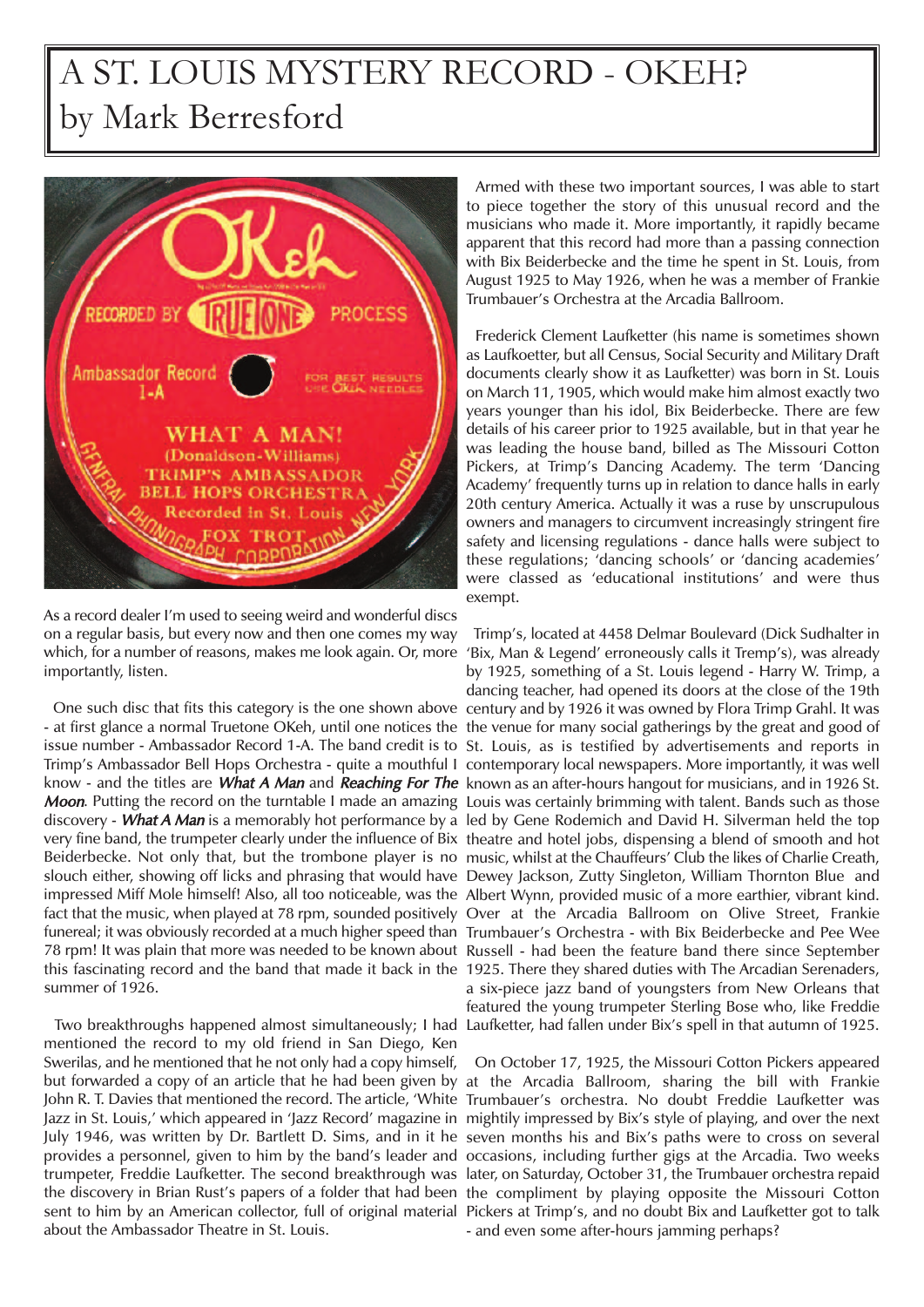## A ST. LOUIS MYSTERY RECORD - OKEH? by Mark Berresford



As a record dealer I'm used to seeing weird and wonderful discs on a regular basis, but every now and then one comes my way importantly, listen.

- at first glance a normal Truetone OKeh, until one notices the the venue for many social gatherings by the great and good of issue number - Ambassador Record 1-A. The band credit is to St. Louis, as is testified by advertisements and reports in Trimp's Ambassador Bell Hops Orchestra - quite a mouthful I contemporary local newspapers. More importantly, it was well know - and the titles are *What A Man* and *Reaching For The* known as an after-hours hangout for musicians, and in 1926 St. Moon. Putting the record on the turntable I made an amazing Louis was certainly brimming with talent. Bands such as those discovery - *What A Man* is a memorably hot performance by a led by Gene Rodemich and David H. Silverman held the top very fine band, the trumpeter clearly under the influence of Bix theatre and hotel jobs, dispensing a blend of smooth and hot Beiderbecke. Not only that, but the trombone player is no music, whilst at the Chauffeurs' Club the likes of Charlie Creath, slouch either, showing off licks and phrasing that would have Dewey Jackson, Zutty Singleton, William Thornton Blue and impressed Miff Mole himself! Also, all too noticeable, was the Albert Wynn, provided music of a more earthier, vibrant kind. fact that the music, when played at 78 rpm, sounded positively Over at the Arcadia Ballroom on Olive Street, Frankie funereal; it was obviously recorded at a much higher speed than Trumbauer's Orchestra - with Bix Beiderbecke and Pee Wee 78 rpm! It was plain that more was needed to be known about Russell - had been the feature band there since September this fascinating record and the band that made it back in the 1925. There they shared duties with The Arcadian Serenaders, summer of 1926.

mentioned the record to my old friend in San Diego, Ken Swerilas, and he mentioned that he not only had a copy himself, but forwarded a copy of an article that he had been given by at the Arcadia Ballroom, sharing the bill with Frankie John R. T. Davies that mentioned the record. The article, 'White Trumbauer's orchestra. No doubt Freddie Laufketter was Jazz in St. Louis,' which appeared in 'Jazz Record' magazine in mightily impressed by Bix's style of playing, and over the next July 1946, was written by Dr. Bartlett D. Sims, and in it he seven months his and Bix's paths were to cross on several provides a personnel, given to him by the band's leader and occasions, including further gigs at the Arcadia. Two weeks trumpeter, Freddie Laufketter. The second breakthrough was later, on Saturday, October 31, the Trumbauer orchestra repaid the discovery in Brian Rust's papers of a folder that had been the compliment by playing opposite the Missouri Cotton sent to him by an American collector, full of original material Pickers at Trimp's, and no doubt Bix and Laufketter got to talk about the Ambassador Theatre in St. Louis.

Armed with these two important sources, I was able to start to piece together the story of this unusual record and the musicians who made it. More importantly, it rapidly became apparent that this record had more than a passing connection with Bix Beiderbecke and the time he spent in St. Louis, from August 1925 to May 1926, when he was a member of Frankie Trumbauer's Orchestra at the Arcadia Ballroom.

Frederick Clement Laufketter (his name is sometimes shown as Laufkoetter, but all Census, Social Security and Military Draft documents clearly show it as Laufketter) was born in St. Louis on March 11, 1905, which would make him almost exactly two years younger than his idol, Bix Beiderbecke. There are few details of his career prior to 1925 available, but in that year he was leading the house band, billed as The Missouri Cotton Pickers, at Trimp's Dancing Academy. The term 'Dancing Academy' frequently turns up in relation to dance halls in early 20th century America. Actually it was a ruse by unscrupulous owners and managers to circumvent increasingly stringent fire safety and licensing regulations - dance halls were subject to these regulations; 'dancing schools' or 'dancing academies' were classed as 'educational institutions' and were thus exempt.

which, for a number of reasons, makes me look again. Or, more 'Bix, Man & Legend' erroneously calls it Tremp's), was already One such disc that fits this category is the one shown above century and by 1926 it was owned by Flora Trimp Grahl. It was Two breakthroughs happened almost simultaneously; I had Laufketter, had fallen under Bix's spell in that autumn of 1925. Trimp's, located at 4458 Delmar Boulevard (Dick Sudhalter in by 1925, something of a St. Louis legend - Harry W. Trimp, a dancing teacher, had opened its doors at the close of the 19th a six-piece jazz band of youngsters from New Orleans that featured the young trumpeter Sterling Bose who, like Freddie

> On October 17, 1925, the Missouri Cotton Pickers appeared - and even some after-hours jamming perhaps?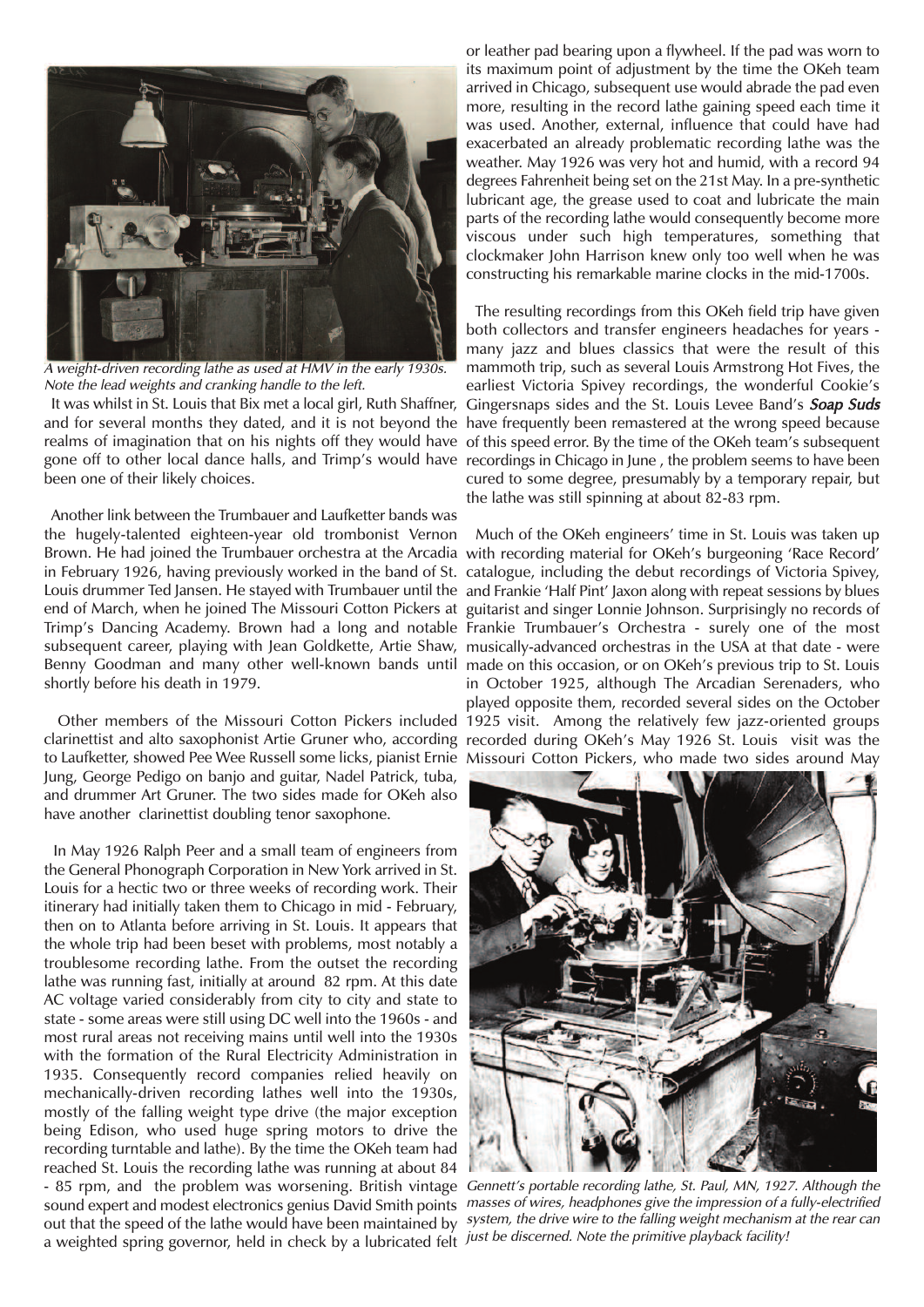

<sup>A</sup> weight-driven recording lathe as used at HMV in the early 1930s. Note the lead weights and cranking handle to the left.

It was whilst in St. Louis that Bix met a local girl, Ruth Shaffner, and for several months they dated, and it is not beyond the have frequently been remastered at the wrong speed because realms of imagination that on his nights off they would have of this speed error. By the time of the OKeh team's subsequent gone off to other local dance halls, and Trimp's would have recordings in Chicago in June , the problem seems to have been been one of their likely choices.

Another link between the Trumbauer and Laufketter bands was the hugely-talented eighteen-year old trombonist Vernon Brown. He had joined the Trumbauer orchestra at the Arcadia with recording material for OKeh's burgeoning 'Race Record' in February 1926, having previously worked in the band of St. catalogue, including the debut recordings of Victoria Spivey, Louis drummer Ted Jansen. He stayed with Trumbauer until the and Frankie 'Half Pint' Jaxon along with repeat sessions by blues end of March, when he joined The Missouri Cotton Pickers at guitarist and singer Lonnie Johnson. Surprisingly no records of Trimp's Dancing Academy. Brown had a long and notable Frankie Trumbauer's Orchestra - surely one of the most subsequent career, playing with Jean Goldkette, Artie Shaw, musically-advanced orchestras in the USA at that date - were Benny Goodman and many other well-known bands until made on this occasion, or on OKeh's previous trip to St. Louis shortly before his death in 1979.

clarinettist and alto saxophonist Artie Gruner who, according recorded during OKeh's May 1926 St. Louis visit was the to Laufketter, showed Pee Wee Russell some licks, pianist Ernie Missouri Cotton Pickers, who made two sides around May Jung, George Pedigo on banjo and guitar, Nadel Patrick, tuba, and drummer Art Gruner. The two sides made for OKeh also have another clarinettist doubling tenor saxophone.

In May 1926 Ralph Peer and a small team of engineers from the General Phonograph Corporation in New York arrived in St. Louis for a hectic two or three weeks of recording work. Their itinerary had initially taken them to Chicago in mid - February, then on to Atlanta before arriving in St. Louis. It appears that the whole trip had been beset with problems, most notably a troublesome recording lathe. From the outset the recording lathe was running fast, initially at around 82 rpm. At this date AC voltage varied considerably from city to city and state to state - some areas were still using DC well into the 1960s - and most rural areas not receiving mains until well into the 1930s with the formation of the Rural Electricity Administration in 1935. Consequently record companies relied heavily on mechanically-driven recording lathes well into the 1930s, mostly of the falling weight type drive (the major exception being Edison, who used huge spring motors to drive the recording turntable and lathe). By the time the OKeh team had reached St. Louis the recording lathe was running at about 84 - 85 rpm, and the problem was worsening. British vintage Gennett's portable recording lathe, St. Paul, MN, 1927. Although the sound expert and modest electronics genius David Smith points masses of wires, headphones give the impression of a fully-electrified out that the speed of the lathe would have been maintained by *system, the drive wire to the falling weight mechanism at the rear can* a weighted spring governor, held in check by a lubricated felt *just be discerned. Note the primitive playback facility!* 

or leather pad bearing upon a flywheel. If the pad was worn to its maximum point of adjustment by the time the OKeh team arrived in Chicago, subsequent use would abrade the pad even more, resulting in the record lathe gaining speed each time it was used. Another, external, influence that could have had exacerbated an already problematic recording lathe was the weather. May 1926 was very hot and humid, with a record 94 degrees Fahrenheit being set on the 21st May. In a pre-synthetic lubricant age, the grease used to coat and lubricate the main parts of the recording lathe would consequently become more viscous under such high temperatures, something that clockmaker John Harrison knew only too well when he was constructing his remarkable marine clocks in the mid-1700s.

The resulting recordings from this OKeh field trip have given both collectors and transfer engineers headaches for years many jazz and blues classics that were the result of this mammoth trip, such as several Louis Armstrong Hot Fives, the earliest Victoria Spivey recordings, the wonderful Cookie's Gingersnaps sides and the St. Louis Levee Band's Soap Suds cured to some degree, presumably by a temporary repair, but the lathe was still spinning at about 82-83 rpm.

Other members of the Missouri Cotton Pickers included 1925 visit. Among the relatively few jazz-oriented groups Much of the OKeh engineers' time in St. Louis was taken up in October 1925, although The Arcadian Serenaders, who played opposite them, recorded several sides on the October

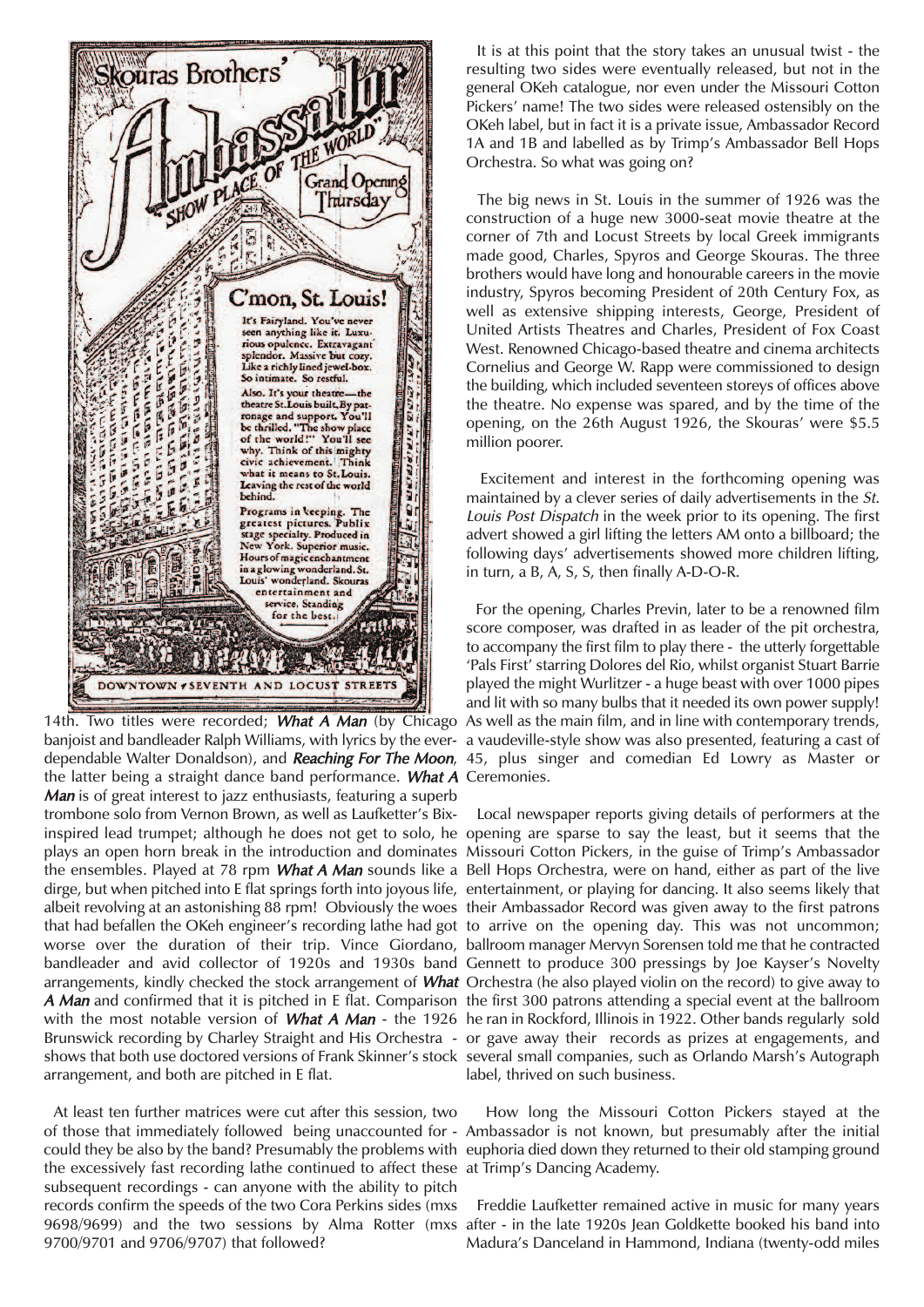

banjoist and bandleader Ralph Williams, with lyrics by the ever-a vaudeville-style show was also presented, featuring a cast of dependable Walter Donaldson), and *Reaching For The Moon,* 45, plus singer and comedian Ed Lowry as Master or the latter being a straight dance band performance. What A Ceremonies. Man is of great interest to jazz enthusiasts, featuring a superb trombone solo from Vernon Brown, as well as Laufketter's Bixinspired lead trumpet; although he does not get to solo, he opening are sparse to say the least, but it seems that the plays an open horn break in the introduction and dominates Missouri Cotton Pickers, in the guise of Trimp's Ambassador the ensembles. Played at 78 rpm *What A Man* sounds like a Bell Hops Orchestra, were on hand, either as part of the live dirge, but when pitched into E flat springs forth into joyous life, entertainment, or playing for dancing. It also seems likely that albeit revolving at an astonishing 88 rpm! Obviously the woes their Ambassador Record was given away to the first patrons that had befallen the OKeh engineer's recording lathe had got to arrive on the opening day. This was not uncommon; worse over the duration of their trip. Vince Giordano, ballroom manager Mervyn Sorensen told me that he contracted bandleader and avid collector of 1920s and 1930s band Gennett to produce 300 pressings by Joe Kayser's Novelty arrangements, kindly checked the stock arrangement of What Orchestra (he also played violin on the record) to give away to A Man and confirmed that it is pitched in E flat. Comparison the first 300 patrons attending a special event at the ballroom with the most notable version of What A Man - the 1926 he ran in Rockford, Illinois in 1922. Other bands regularly sold Brunswick recording by Charley Straight and His Orchestra - or gave away their records as prizes at engagements, and shows that both use doctored versions of Frank Skinner's stock several small companies, such as Orlando Marsh's Autograph arrangement, and both are pitched in E flat.

At least ten further matrices were cut after this session, two of those that immediately followed being unaccounted for - Ambassador is not known, but presumably after the initial could they be also by the band? Presumably the problems with euphoria died down they returned to their old stamping ground the excessively fast recording lathe continued to affect these at Trimp's Dancing Academy. subsequent recordings - can anyone with the ability to pitch records confirm the speeds of the two Cora Perkins sides (mxs 9700/9701 and 9706/9707) that followed?

It is at this point that the story takes an unusual twist - the resulting two sides were eventually released, but not in the general OKeh catalogue, nor even under the Missouri Cotton Pickers' name! The two sides were released ostensibly on the OKeh label, but in fact it is a private issue, Ambassador Record 1A and 1B and labelled as by Trimp's Ambassador Bell Hops Orchestra. So what was going on?

The big news in St. Louis in the summer of 1926 was the construction of a huge new 3000-seat movie theatre at the corner of 7th and Locust Streets by local Greek immigrants made good, Charles, Spyros and George Skouras. The three brothers would have long and honourable careers in the movie industry, Spyros becoming President of 20th Century Fox, as well as extensive shipping interests, George, President of United Artists Theatres and Charles, President of Fox Coast West. Renowned Chicago-based theatre and cinema architects Cornelius and George W. Rapp were commissioned to design the building, which included seventeen storeys of offices above the theatre. No expense was spared, and by the time of the opening, on the 26th August 1926, the Skouras' were \$5.5 million poorer.

Excitement and interest in the forthcoming opening was maintained by a clever series of daily advertisements in the St. Louis Post Dispatch in the week prior to its opening. The first advert showed a girl lifting the letters AM onto a billboard; the following days' advertisements showed more children lifting, in turn, a B, A, S, S, then finally A-D-O-R.

14th. Two titles were recorded; What A Man (by Chicago As well as the main film, and in line with contemporary trends, For the opening, Charles Previn, later to be a renowned film score composer, was drafted in as leader of the pit orchestra, to accompany the first film to play there - the utterly forgettable 'Pals First' starring Dolores del Rio, whilst organist Stuart Barrie played the might Wurlitzer - a huge beast with over 1000 pipes and lit with so many bulbs that it needed its own power supply!

> Local newspaper reports giving details of performers at the label, thrived on such business.

> How long the Missouri Cotton Pickers stayed at the

9698/9699) and the two sessions by Alma Rotter (mxs after - in the late 1920s Jean Goldkette booked his band into Freddie Laufketter remained active in music for many years Madura's Danceland in Hammond, Indiana (twenty-odd miles